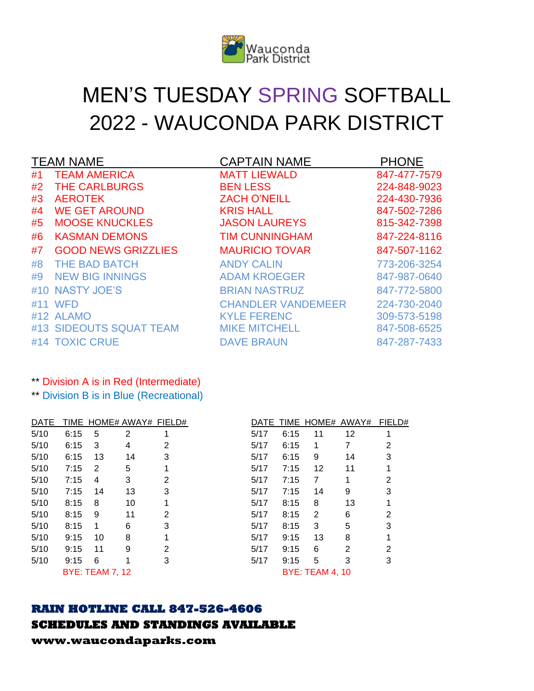

# MEN'S TUESDAY SPRING SOFTBALL 2022 - WAUCONDA PARK DISTRICT

|    | <b>TEAM NAME</b>           | <b>CAPTAIN NAME</b>       | <b>PHONE</b> |
|----|----------------------------|---------------------------|--------------|
| #1 | <b>TEAM AMERICA</b>        | <b>MATT LIEWALD</b>       | 847-477-7579 |
| #2 | <b>THE CARLBURGS</b>       | <b>BEN LESS</b>           | 224-848-9023 |
| #3 | <b>AEROTEK</b>             | <b>ZACH O'NEILL</b>       | 224-430-7936 |
| #4 | <b>WE GET AROUND</b>       | <b>KRIS HALL</b>          | 847-502-7286 |
| #5 | <b>MOOSE KNUCKLES</b>      | <b>JASON LAUREYS</b>      | 815-342-7398 |
| #6 | <b>KASMAN DEMONS</b>       | <b>TIM CUNNINGHAM</b>     | 847-224-8116 |
| #7 | <b>GOOD NEWS GRIZZLIES</b> | <b>MAURICIO TOVAR</b>     | 847-507-1162 |
| #8 | <b>THE BAD BATCH</b>       | <b>ANDY CALIN</b>         | 773-206-3254 |
| #9 | <b>NEW BIG INNINGS</b>     | <b>ADAM KROEGER</b>       | 847-987-0640 |
|    | #10 NASTY JOE'S            | <b>BRIAN NASTRUZ</b>      | 847-772-5800 |
|    | #11 WFD                    | <b>CHANDLER VANDEMEER</b> | 224-730-2040 |
|    | #12 ALAMO                  | <b>KYLE FERENC</b>        | 309-573-5198 |
|    | #13 SIDEOUTS SQUAT TEAM    | <b>MIKE MITCHELL</b>      | 847-508-6525 |
|    | #14 TOXIC CRUE             | <b>DAVE BRAUN</b>         | 847-287-7433 |

### \*\* Division A is in Red (Intermediate)

\*\* Division B is in Blue (Recreational)

| <b>DATE</b> |      |                        |    | TIME HOME# AWAY# FIELD# |      |      | DATE TIME HOME# AWAY#  |    | FIELD# |
|-------------|------|------------------------|----|-------------------------|------|------|------------------------|----|--------|
| 5/10        | 6:15 | 5                      | 2  |                         | 5/17 | 6:15 | 11                     | 12 |        |
| 5/10        | 6:15 | 3                      | 4  | 2                       | 5/17 | 6:15 | 1                      |    | 2      |
| 5/10        | 6:15 | 13                     | 14 | 3                       | 5/17 | 6:15 | 9                      | 14 | 3      |
| 5/10        | 7:15 | 2                      | 5  |                         | 5/17 | 7:15 | 12                     | 11 |        |
| 5/10        | 7:15 | 4                      | 3  | 2                       | 5/17 | 7:15 | 7                      |    | 2      |
| 5/10        | 7:15 | 14                     | 13 | 3                       | 5/17 | 7:15 | 14                     | 9  | 3      |
| 5/10        | 8:15 | 8                      | 10 |                         | 5/17 | 8:15 | 8                      | 13 |        |
| 5/10        | 8:15 | 9                      | 11 | 2                       | 5/17 | 8:15 | 2                      | 6  | 2      |
| 5/10        | 8:15 | 1                      | 6  | 3                       | 5/17 | 8:15 | 3                      | 5  | 3      |
| 5/10        | 9:15 | 10                     | 8  |                         | 5/17 | 9:15 | 13                     | 8  |        |
| 5/10        | 9:15 | 11                     | 9  | 2                       | 5/17 | 9:15 | 6                      | 2  | 2      |
| 5/10        | 9:15 | 6                      | 1  | 3                       | 5/17 | 9:15 | 5                      | 3  | 3      |
|             |      | <b>BYE: TEAM 7, 12</b> |    |                         |      |      | <b>BYE: TEAM 4, 10</b> |    |        |

|      |      |                        | DATE TIME HOME# AWAY# | FIELD# |
|------|------|------------------------|-----------------------|--------|
| 5/17 | 6:15 | 11                     | 12                    | 1      |
| 5/17 | 6:15 | 1                      | 7                     | 2      |
| 5/17 | 6:15 | 9                      | 14                    | 3      |
| 5/17 | 7:15 | 12                     | 11                    | 1      |
| 5/17 | 7:15 | $\overline{7}$         | 1                     | 2      |
| 5/17 | 7:15 | 14                     | 9                     | 3      |
| 5/17 | 8:15 | 8                      | 13                    | 1      |
| 5/17 | 8:15 | $\overline{2}$         | 6                     | 2      |
| 5/17 | 8:15 | 3                      | 5                     | 3      |
| 5/17 | 9:15 | 13                     | 8                     | 1      |
| 5/17 | 9:15 | 6                      | $\overline{2}$        | 2      |
| 5/17 | 9:15 | 5                      | 3                     | 3      |
|      |      | <b>BYE: TEAM 4, 10</b> |                       |        |

# **RAIN HOTLINE CALL 847-526-4606**

# **SCHEDULES AND STANDINGS AVAILABLE**

**www.waucondaparks.com**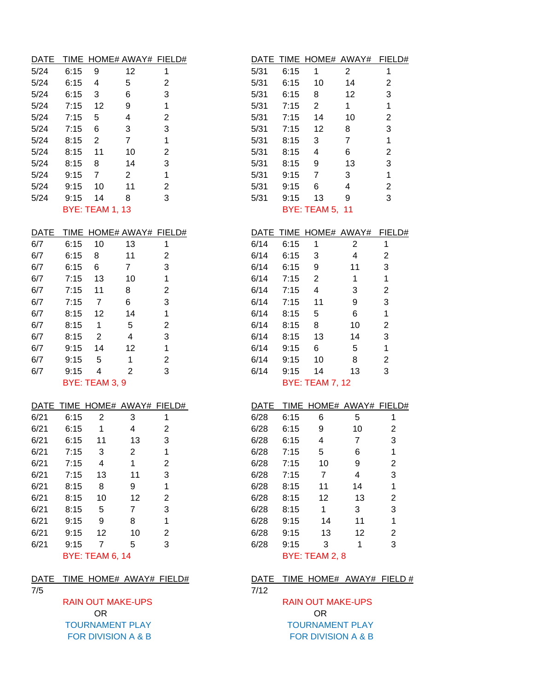| <b>DATE</b> |      |              |                          | TIME HOME# AWAY# FIELD# |      |      | DATE TIME HOME# AWAY# |    | <b>FIEL</b> |
|-------------|------|--------------|--------------------------|-------------------------|------|------|-----------------------|----|-------------|
| 5/24        | 6:15 | 9            | 12                       |                         | 5/31 | 6:15 | 1                     | 2  |             |
| 5/24        | 6:15 | 4            | 5                        | 2                       | 5/31 | 6:15 | 10                    | 14 | 2           |
| 5/24        | 6:15 | 3            | 6                        | 3                       | 5/31 | 6:15 | 8                     | 12 | 3           |
| 5/24        | 7:15 | 12           | 9                        |                         | 5/31 | 7:15 | 2                     |    |             |
| 5/24        | 7:15 | 5            | 4                        | 2                       | 5/31 | 7:15 | 14                    | 10 | 2           |
| 5/24        | 7:15 | 6            | 3                        | 3                       | 5/31 | 7:15 | 12                    | 8  | 3           |
| 5/24        | 8:15 | 2            | 7                        |                         | 5/31 | 8:15 | 3                     |    |             |
| 5/24        | 8:15 | 11           | 10                       | 2                       | 5/31 | 8:15 | 4                     | 6  | 2           |
| 5/24        | 8:15 | 8            | 14                       | 3                       | 5/31 | 8:15 | 9                     | 13 | 3           |
| 5/24        | 9:15 | 7            | 2                        |                         | 5/31 | 9:15 | 7                     | 3  |             |
| 5/24        | 9:15 | 10           | 11                       | $\mathcal{P}$           | 5/31 | 9:15 | 6                     | 4  | 2           |
| 5/24        | 9:15 | 14           | 8                        | 3                       | 5/31 | 9:15 | 13                    | 9  | 3           |
|             |      | . . <i>.</i> | $\overline{\phantom{a}}$ |                         |      |      | $\mathbf{m}$          |    |             |

| <b>DATE</b> |      |                                      | TIME HOME# AWAY# FIELD# |   |      |      | DATE TIME HOME# AWAY# |    | FIELD# |
|-------------|------|--------------------------------------|-------------------------|---|------|------|-----------------------|----|--------|
| 6/7         | 6:15 | 10                                   | 13                      |   | 6/14 | 6:15 | 1                     | 2  |        |
| 6/7         | 6:15 | 8                                    | 11                      | 2 | 6/14 | 6:15 | 3                     | 4  | 2      |
| 6/7         | 6:15 | 6                                    | 7                       | 3 | 6/14 | 6:15 | 9                     | 11 | 3      |
| 6/7         | 7:15 | 13                                   | 10                      |   | 6/14 | 7:15 | 2                     |    |        |
| 6/7         | 7:15 | 11                                   | 8                       | 2 | 6/14 | 7:15 | 4                     | 3  | 2      |
| 6/7         | 7:15 | 7                                    | 6                       | 3 | 6/14 | 7:15 | 11                    | 9  | 3      |
| 6/7         | 8:15 | 12                                   | 14                      |   | 6/14 | 8:15 | 5                     | 6  |        |
| 6/7         | 8:15 | 1                                    | 5                       | 2 | 6/14 | 8:15 | 8                     | 10 | 2      |
| 6/7         | 8:15 | 2                                    | 4                       | 3 | 6/14 | 8:15 | 13                    | 14 | 3      |
| 6/7         | 9:15 | 14                                   | 12                      |   | 6/14 | 9:15 | 6                     | 5  | 1      |
| 6/7         | 9:15 | 5                                    |                         | 2 | 6/14 | 9:15 | 10                    | 8  | 2      |
| 6/7         | 9:15 | 4                                    | 2                       | 3 | 6/14 | 9:15 | 14                    | 13 | 3      |
|             |      | $DV\Gamma$ . T $\Gamma$ AMA $\Omega$ |                         |   |      |      | M/T. T T A M 7 40     |    |        |

|      |      |                        | DATE TIME HOME# AWAY# FIELD# |   |      | <b>DATE</b> |      |                | TIME HOME# AWAY# FIEL |   |
|------|------|------------------------|------------------------------|---|------|-------------|------|----------------|-----------------------|---|
| 6/21 | 6:15 | 2                      | 3                            |   | 6/28 |             | 6:15 | 6              | 5                     | 1 |
| 6/21 | 6:15 | 1                      | 4                            | 2 | 6/28 |             | 6:15 | 9              | 10                    | 2 |
| 6/21 | 6:15 | 11                     | 13                           | 3 | 6/28 |             | 6:15 | 4              | 7                     | 3 |
| 6/21 | 7:15 | 3                      | 2                            |   | 6/28 |             | 7:15 | 5              | 6                     | 1 |
| 6/21 | 7:15 | 4                      | 1                            | 2 | 6/28 |             | 7:15 | 10             | 9                     | 2 |
| 6/21 | 7:15 | 13                     | 11                           | 3 | 6/28 |             | 7:15 | 7              | 4                     | 3 |
| 6/21 | 8:15 | 8                      | 9                            |   | 6/28 |             | 8:15 | 11             | 14                    | 1 |
| 6/21 | 8:15 | 10                     | 12                           | 2 | 6/28 |             | 8:15 | 12             | 13                    | 2 |
| 6/21 | 8:15 | 5                      | 7                            | 3 | 6/28 |             | 8:15 | 1              | 3                     | 3 |
| 6/21 | 9:15 | 9                      | 8                            |   | 6/28 |             | 9:15 | 14             | 11                    | 1 |
| 6/21 | 9:15 | 12                     | 10                           | 2 | 6/28 |             | 9:15 | 13             | 12                    | 2 |
| 6/21 | 9:15 | 7                      | 5                            | 3 | 6/28 |             | 9:15 | 3              |                       | 3 |
|      |      | <b>BYE: TEAM 6, 14</b> |                              |   |      |             |      | BYE: TEAM 2, 8 |                       |   |

### DATE TIME HOME# AWAY# FIELD# DATE TIME HOME# AWAY# FIELD #

### 7/5 7/12

### OR OR OR TOURNAMENT PLAY TOURNAMENT PLAY FOR DIVISION A & B FOR DIVISION A & B

| DATE |                           |    | TIME HOME# AWAY# FIELD# |               |      |      |                                                               | DATE TIME HOME# AWAY# FIELD# |   |
|------|---------------------------|----|-------------------------|---------------|------|------|---------------------------------------------------------------|------------------------------|---|
| 5/24 | 6:15                      | 9  | 12                      |               | 5/31 | 6:15 | 1                                                             | 2                            |   |
| 5/24 | 6:15                      | 4  | 5                       | 2             | 5/31 | 6:15 | 10                                                            | 14                           |   |
| 5/24 | 6:15                      | 3  | 6                       | 3             | 5/31 | 6:15 | 8                                                             | 12                           | 3 |
| 5/24 | 7:15                      | 12 | 9                       | 1             | 5/31 | 7:15 | 2                                                             | 1                            |   |
| 5/24 | 7:15                      | 5  | 4                       | 2             | 5/31 | 7:15 | 14                                                            | 10                           | 2 |
| 5/24 | 7:15                      | 6  | 3                       | 3             | 5/31 | 7:15 | 12                                                            | 8                            | 3 |
| 5/24 | 8:15                      | 2  |                         |               | 5/31 | 8:15 | 3                                                             |                              |   |
| 5/24 | 8:15                      | 11 | 10                      | 2             | 5/31 | 8:15 | 4                                                             | 6                            | 2 |
| 5/24 | 8:15                      | 8  | 14                      | 3             | 5/31 | 8:15 | 9                                                             | 13                           | 3 |
| 5/24 | 9:15                      | -7 | 2                       | 1             | 5/31 | 9:15 | 7                                                             | 3                            |   |
| 5/24 | 9:15                      | 10 | 11                      | $\mathcal{P}$ | 5/31 | 9:15 | 6                                                             | 4                            | 2 |
| 5/24 | 9:15                      | 14 | 8                       | 3             | 5/31 | 9:15 | 13                                                            | 9                            | 3 |
|      | $M/T$ $T T A A A A A A A$ |    |                         |               |      |      | $\mathbf{D} \times \mathbf{E}$ $\mathbf{E} \times \mathbf{E}$ | $\overline{1}$               |   |

BYE: TEAM 1, 13 BYE: TEAM 5, 11

|      |                       | TIME HOME# AWAY# FIELD# |   | DATE TIME HOME# AWAY#    | <b>FIELD:</b>  |
|------|-----------------------|-------------------------|---|--------------------------|----------------|
| 6:15 | 10                    | 13                      | 1 | 6/14<br>6:15<br>2<br>1   |                |
| 6:15 | 8                     | 11                      | 2 | 3<br>6/14<br>6:15<br>4   | 2              |
| 6:15 | 6                     | 7                       | 3 | 9<br>6/14<br>11<br>6:15  | 3              |
| 7:15 | 13                    | 10                      | 1 | 2<br>6/14<br>7:15<br>1   |                |
| 7:15 | 11                    | 8                       | 2 | 7:15<br>3<br>6/14<br>4   | 2              |
| 7:15 | 7                     | 6                       | 3 | 6/14<br>7:15<br>11<br>9  | 3              |
| 8:15 | 12                    | 14                      | 1 | 5<br>6<br>6/14<br>8:15   |                |
| 8:15 | 1                     | 5                       | 2 | 8<br>6/14<br>10<br>8:15  | $\overline{2}$ |
| 8:15 | 2                     | 4                       | 3 | 6/14<br>8:15<br>13<br>14 | 3              |
| 9:15 | 14                    | 12                      | 1 | 6<br>5<br>6/14<br>9:15   | 1              |
| 9:15 | 5                     | 1                       | 2 | 8<br>6/14<br>9:15<br>10  | $\overline{2}$ |
| 9:15 | 4                     | $\overline{2}$          | 3 | 6/14<br>13<br>9:15<br>14 | 3              |
|      | <b>BYE: TEAM 3, 9</b> |                         |   | <b>BYE: TEAM 7, 12</b>   |                |

DATE TIME HOME# AWAY# FIELD# BYE: TEAM 2, 8

RAIN OUT MAKE-UPS RAIN OUT MAKE-UPS